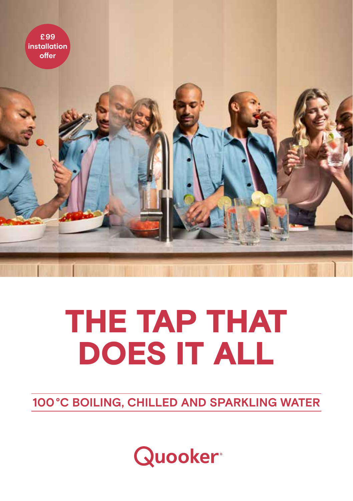

## THE TAP THAT DOES IT ALL

**100°C BOILING, CHILLED AND SPARKLING WATER**